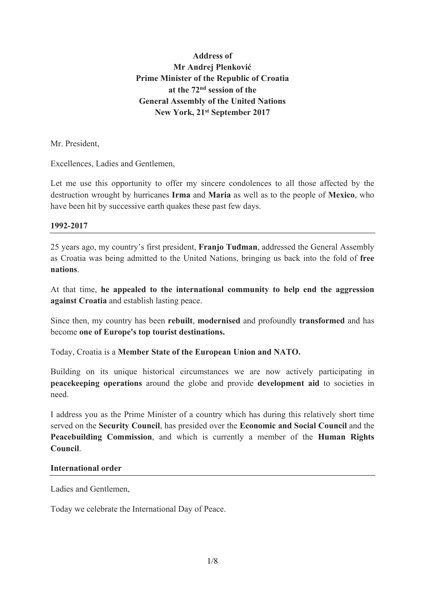# **Address of Mr Andrej Plenković Prime Minister of the Republic of Croatia at the 72nd session of the General Assembly of the United Nations New York, 21st September 2017**

Mr. President,

Excellences, Ladies and Gentlemen,

Let me use this opportunity to offer my sincere condolences to all those affected by the destruction wrought by hurricanes **Irma** and **Maria** as well as to the people of **Mexico**, who have been hit by successive earth quakes these past few days.

#### **1992-2017**

25 years ago, my country's first president, **Franjo Tuđman**, addressed the General Assembly as Croatia was being admitted to the United Nations, bringing us back into the fold of **free nations**.

At that time, **he appealed to the international community to help end the aggression against Croatia** and establish lasting peace.

Since then, my country has been **rebuilt**, **modernised** and profoundly **transformed** and has become **one of Europe's top tourist destinations.**

Today, Croatia is a **Member State of the European Union and NATO.**

Building on its unique historical circumstances we are now actively participating in **peacekeeping operations** around the globe and provide **development aid** to societies in need.

I address you as the Prime Minister of a country which has during this relatively short time served on the **Security Council**, has presided over the **Economic and Social Council** and the **Peacebuilding Commission**, and which is currently a member of the **Human Rights Council**.

#### **International order**

Ladies and Gentlemen,

Today we celebrate the International Day of Peace.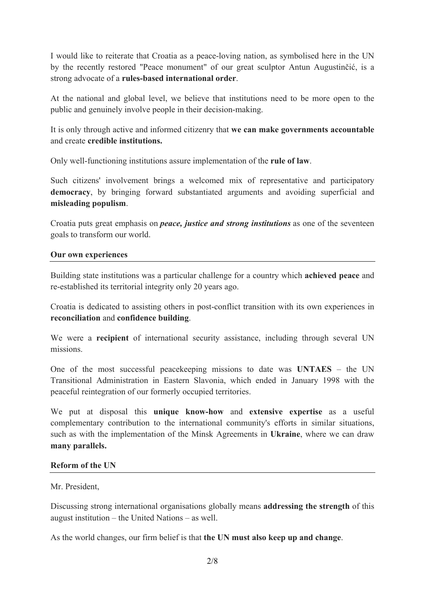I would like to reiterate that Croatia as a peace-loving nation, as symbolised here in the UN by the recently restored "Peace monument" of our great sculptor Antun Augustinčić, is a strong advocate of a **rules-based international order**.

At the national and global level, we believe that institutions need to be more open to the public and genuinely involve people in their decision-making.

It is only through active and informed citizenry that **we can make governments accountable**  and create **credible institutions.**

Only well-functioning institutions assure implementation of the **rule of law**.

Such citizens' involvement brings a welcomed mix of representative and participatory **democracy**, by bringing forward substantiated arguments and avoiding superficial and **misleading populism**.

Croatia puts great emphasis on *peace, justice and strong institutions* as one of the seventeen goals to transform our world.

### **Our own experiences**

Building state institutions was a particular challenge for a country which **achieved peace** and re-established its territorial integrity only 20 years ago.

Croatia is dedicated to assisting others in post-conflict transition with its own experiences in **reconciliation** and **confidence building**.

We were a **recipient** of international security assistance, including through several UN missions.

One of the most successful peacekeeping missions to date was **UNTAES** – the UN Transitional Administration in Eastern Slavonia, which ended in January 1998 with the peaceful reintegration of our formerly occupied territories.

We put at disposal this **unique know-how** and **extensive expertise** as a useful complementary contribution to the international community's efforts in similar situations, such as with the implementation of the Minsk Agreements in **Ukraine**, where we can draw **many parallels.** 

### **Reform of the UN**

### Mr. President,

Discussing strong international organisations globally means **addressing the strength** of this august institution – the United Nations – as well.

As the world changes, our firm belief is that **the UN must also keep up and change**.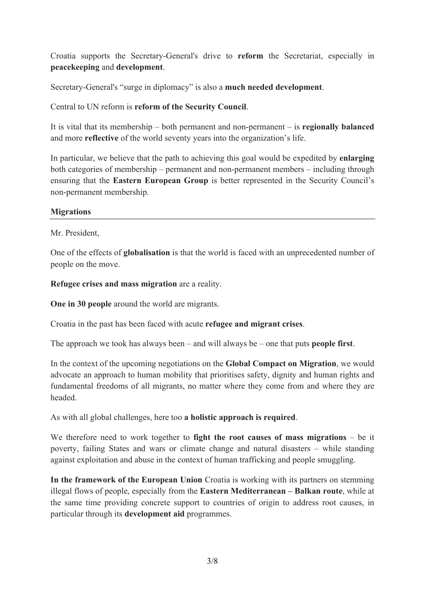Croatia supports the Secretary-General's drive to **reform** the Secretariat, especially in **peacekeeping** and **development**.

Secretary-General's "surge in diplomacy" is also a **much needed development**.

Central to UN reform is **reform of the Security Council**.

It is vital that its membership – both permanent and non-permanent – is **regionally balanced** and more **reflective** of the world seventy years into the organization's life.

In particular, we believe that the path to achieving this goal would be expedited by **enlarging** both categories of membership – permanent and non-permanent members – including through ensuring that the **Eastern European Group** is better represented in the Security Council's non-permanent membership.

## **Migrations**

Mr. President,

One of the effects of **globalisation** is that the world is faced with an unprecedented number of people on the move.

**Refugee crises and mass migration** are a reality.

**One in 30 people** around the world are migrants.

Croatia in the past has been faced with acute **refugee and migrant crises**.

The approach we took has always been – and will always be – one that puts **people first**.

In the context of the upcoming negotiations on the **Global Compact on Migration**, we would advocate an approach to human mobility that prioritises safety, dignity and human rights and fundamental freedoms of all migrants, no matter where they come from and where they are headed.

As with all global challenges, here too **a holistic approach is required**.

We therefore need to work together to **fight the root causes of mass migrations** – be it poverty, failing States and wars or climate change and natural disasters – while standing against exploitation and abuse in the context of human trafficking and people smuggling.

**In the framework of the European Union** Croatia is working with its partners on stemming illegal flows of people, especially from the **Eastern Mediterranean – Balkan route**, while at the same time providing concrete support to countries of origin to address root causes, in particular through its **development aid** programmes.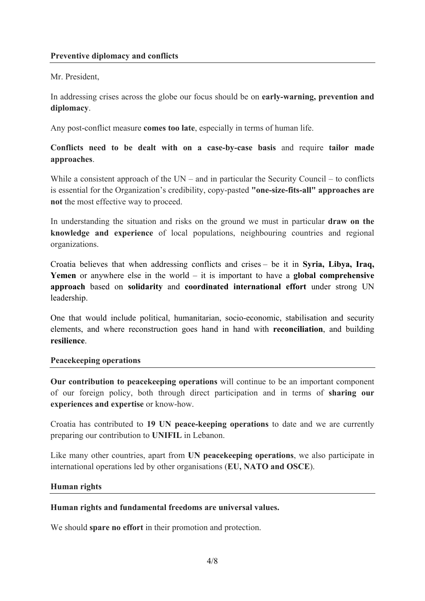## Mr. President,

In addressing crises across the globe our focus should be on **early-warning, prevention and diplomacy**.

Any post-conflict measure **comes too late**, especially in terms of human life.

**Conflicts need to be dealt with on a case-by-case basis** and require **tailor made approaches**.

While a consistent approach of the UN – and in particular the Security Council – to conflicts is essential for the Organization's credibility, copy-pasted **"one-size-fits-all" approaches are not** the most effective way to proceed.

In understanding the situation and risks on the ground we must in particular **draw on the knowledge and experience** of local populations, neighbouring countries and regional organizations.

Croatia believes that when addressing conflicts and crises – be it in **Syria, Libya, Iraq, Yemen** or anywhere else in the world – it is important to have a **global comprehensive approach** based on **solidarity** and **coordinated international effort** under strong UN leadership.

One that would include political, humanitarian, socio-economic, stabilisation and security elements, and where reconstruction goes hand in hand with **reconciliation**, and building **resilience**.

### **Peacekeeping operations**

**Our contribution to peacekeeping operations** will continue to be an important component of our foreign policy, both through direct participation and in terms of **sharing our experiences and expertise** or know-how.

Croatia has contributed to **19 UN peace-keeping operations** to date and we are currently preparing our contribution to **UNIFIL** in Lebanon.

Like many other countries, apart from **UN peacekeeping operations**, we also participate in international operations led by other organisations (**EU, NATO and OSCE**).

### **Human rights**

### **Human rights and fundamental freedoms are universal values.**

We should **spare no effort** in their promotion and protection.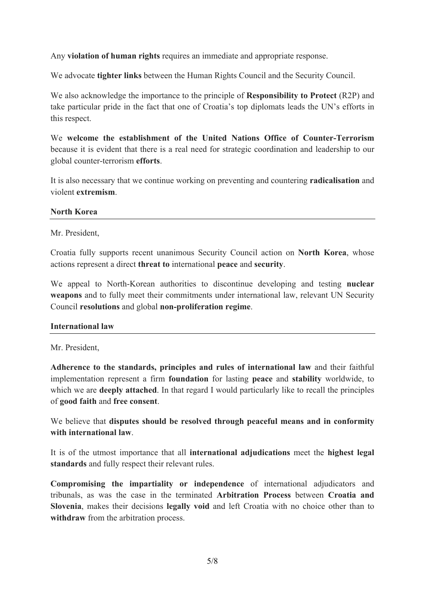Any **violation of human rights** requires an immediate and appropriate response.

We advocate **tighter links** between the Human Rights Council and the Security Council.

We also acknowledge the importance to the principle of **Responsibility to Protect** (R2P) and take particular pride in the fact that one of Croatia's top diplomats leads the UN's efforts in this respect.

We **welcome the establishment of the United Nations Office of Counter-Terrorism** because it is evident that there is a real need for strategic coordination and leadership to our global counter-terrorism **efforts**.

It is also necessary that we continue working on preventing and countering **radicalisation** and violent **extremism**.

#### **North Korea**

Mr. President,

Croatia fully supports recent unanimous Security Council action on **North Korea**, whose actions represent a direct **threat to** international **peace** and **security**.

We appeal to North-Korean authorities to discontinue developing and testing **nuclear weapons** and to fully meet their commitments under international law, relevant UN Security Council **resolutions** and global **non-proliferation regime**.

### **International law**

Mr. President,

**Adherence to the standards, principles and rules of international law** and their faithful implementation represent a firm **foundation** for lasting **peace** and **stability** worldwide, to which we are **deeply attached**. In that regard I would particularly like to recall the principles of **good faith** and **free consent**.

We believe that **disputes should be resolved through peaceful means and in conformity with international law**.

It is of the utmost importance that all **international adjudications** meet the **highest legal standards** and fully respect their relevant rules.

**Compromising the impartiality or independence** of international adjudicators and tribunals, as was the case in the terminated **Arbitration Process** between **Croatia and Slovenia**, makes their decisions **legally void** and left Croatia with no choice other than to **withdraw** from the arbitration process.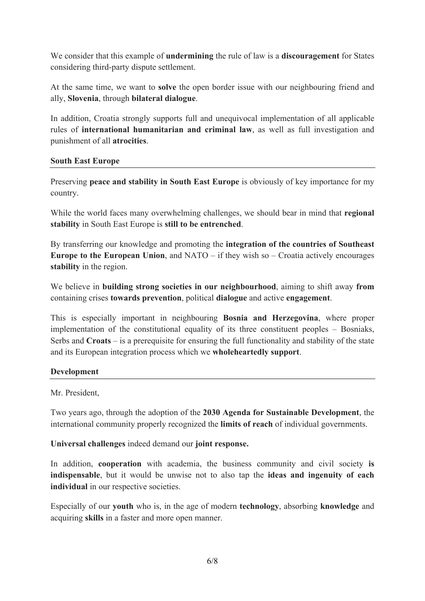We consider that this example of **undermining** the rule of law is a **discouragement** for States considering third-party dispute settlement.

At the same time, we want to **solve** the open border issue with our neighbouring friend and ally, **Slovenia**, through **bilateral dialogue**.

In addition, Croatia strongly supports full and unequivocal implementation of all applicable rules of **international humanitarian and criminal law**, as well as full investigation and punishment of all **atrocities**.

## **South East Europe**

Preserving **peace and stability in South East Europe** is obviously of key importance for my country.

While the world faces many overwhelming challenges, we should bear in mind that **regional stability** in South East Europe is **still to be entrenched**.

By transferring our knowledge and promoting the **integration of the countries of Southeast Europe to the European Union**, and NATO – if they wish so – Croatia actively encourages **stability** in the region.

We believe in **building strong societies in our neighbourhood**, aiming to shift away **from** containing crises **towards prevention**, political **dialogue** and active **engagement**.

This is especially important in neighbouring **Bosnia and Herzegovina**, where proper implementation of the constitutional equality of its three constituent peoples – Bosniaks, Serbs and **Croats** – is a prerequisite for ensuring the full functionality and stability of the state and its European integration process which we **wholeheartedly support**.

## **Development**

Mr. President,

Two years ago, through the adoption of the **2030 Agenda for Sustainable Development**, the international community properly recognized the **limits of reach** of individual governments.

**Universal challenges** indeed demand our **joint response.**

In addition, **cooperation** with academia, the business community and civil society **is indispensable**, but it would be unwise not to also tap the **ideas and ingenuity of each individual** in our respective societies.

Especially of our **youth** who is, in the age of modern **technology**, absorbing **knowledge** and acquiring **skills** in a faster and more open manner.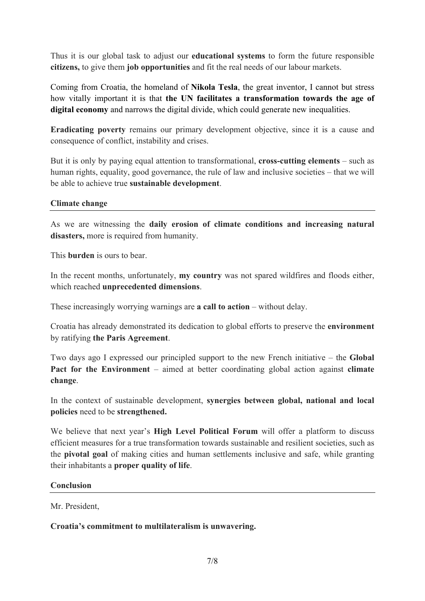Thus it is our global task to adjust our **educational systems** to form the future responsible **citizens,** to give them **job opportunities** and fit the real needs of our labour markets.

Coming from Croatia, the homeland of **Nikola Tesla**, the great inventor, I cannot but stress how vitally important it is that **the UN facilitates a transformation towards the age of digital economy** and narrows the digital divide, which could generate new inequalities.

**Eradicating poverty** remains our primary development objective, since it is a cause and consequence of conflict, instability and crises.

But it is only by paying equal attention to transformational, **cross-cutting elements** – such as human rights, equality, good governance, the rule of law and inclusive societies – that we will be able to achieve true **sustainable development**.

#### **Climate change**

As we are witnessing the **daily erosion of climate conditions and increasing natural disasters,** more is required from humanity.

This **burden** is ours to bear.

In the recent months, unfortunately, **my country** was not spared wildfires and floods either, which reached **unprecedented dimensions**.

These increasingly worrying warnings are **a call to action** – without delay.

Croatia has already demonstrated its dedication to global efforts to preserve the **environment** by ratifying **the Paris Agreement**.

Two days ago I expressed our principled support to the new French initiative – the **Global Pact for the Environment** – aimed at better coordinating global action against **climate change**.

In the context of sustainable development, **synergies between global, national and local policies** need to be **strengthened.**

We believe that next year's **High Level Political Forum** will offer a platform to discuss efficient measures for a true transformation towards sustainable and resilient societies, such as the **pivotal goal** of making cities and human settlements inclusive and safe, while granting their inhabitants a **proper quality of life**.

#### **Conclusion**

Mr. President,

### **Croatia's commitment to multilateralism is unwavering.**